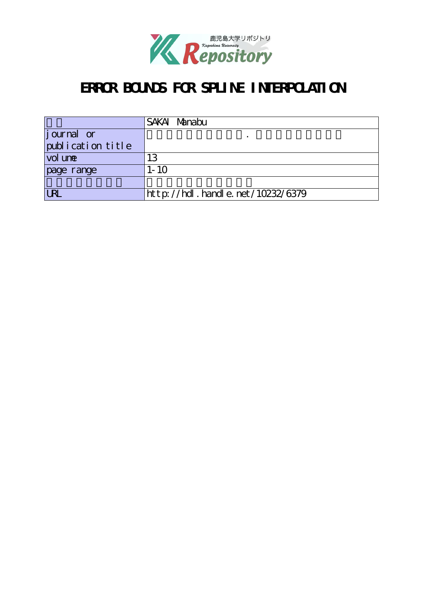

# ERROR BOUNDS FOR SPLINE INTERPOLATION

|                    | SAKAI Manabu                     |
|--------------------|----------------------------------|
| <i>j</i> ournal or |                                  |
| publication title  |                                  |
| vol une            | 13                               |
| page range         | $1 - 10$                         |
|                    |                                  |
| <b>URL</b>         | http://hdl.handle.net/10232/6379 |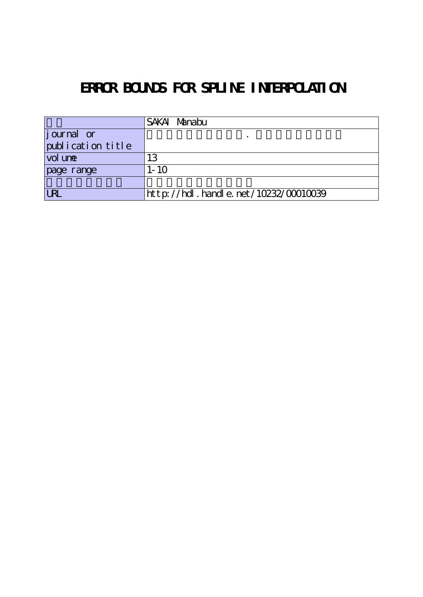# ERROR BOUNDS FOR SPLINE INTERPOLATION

|                    | SAKAI Manabu                         |
|--------------------|--------------------------------------|
| <i>j</i> ournal or |                                      |
| publication title  |                                      |
| vol une            | 13                                   |
| page range         | $1 - 10$                             |
|                    |                                      |
| <b>URL</b>         | http://hdl.handle.net/10232/00010039 |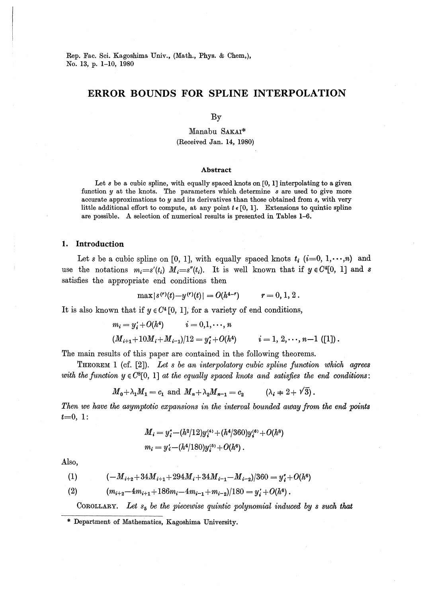Rep. Fac. Sci. Kagoshima Univ., (Math., Phys. & Chem.), No. 13, p. 1-10, 1980

# ERROR BOUNDS FOR SPLINE INTERPOLATION

By

Manabu SAKAI\* (Received Jan. 14, 1980)

### **Abstract**

Let  $s$  be a cubic spline, with equally spaced knots on [0, 1] interpolating to a given function y at the knots. The parameters which determine s are used to give more accurate approximations to  $y$  and its derivatives than those obtained from  $s$ , with very little additional effort to compute, at any point  $t \in [0, 1]$ . Extensions to quintic spline are possible. A selection of numerical results is presented in Tables 1-6.

## 1. Introduction

Let s be a cubic spline on [0, 1], with equally spaced knots  $t_i$  (i=0, 1, ...,n) and use the notations  $m_i = s'(t_i)$   $M_i = s''(t_i)$ . It is well known that if  $y \in C^4[0, 1]$  and s satisfies the appropriate end conditions then

$$
\max |s^{(r)}(t) - y^{(r)}(t)| = O(h^{4-r}) \qquad r = 0, 1, 2.
$$

It is also known that if  $y \in C^4[0, 1]$ , for a variety of end conditions,

$$
m_i = y'_i + O(h^4) \qquad i = 0, 1, \dots, n
$$
  

$$
(M_{i+1} + 10M_i + M_{i-1})/12 = y''_i + O(h^4) \qquad i = 1, 2, \dots, n-1
$$
 ([1]).

The main results of this paper are contained in the following theorems.

**THEOREM** 1 (cf. [2]). Let s be an interpolatory cubic spline function which agrees with the function  $y \in C^{8}[0, 1]$  at the equally spaced knots and satisfies the end conditions:

$$
M_0 + \lambda_1 M_1 = c_1
$$
 and  $M_n + \lambda_2 M_{n-1} = c_2$   $(\lambda_i + 2 + \sqrt{3}).$ 

Then we have the asymptotic expansions in the interval bounded away from the end points  $t=0, 1$ :

$$
M_i = y_i^* - (h^2/12)y_i^{(4)} + (h^4/360)y_i^{(6)} + O(h^8)
$$
  

$$
m_i = y_i^* - (h^4/180)y_i^{(6)} + O(h^6)
$$
.

Also,

(1) 
$$
(-M_{i+2}+34M_{i+1}+294M_i+34M_{i-1}-M_{i-2})/360 = y''_i+O(h^6)
$$

$$
(2) \qquad (m_{i+2}-4m_{i+1}+186m_i-4m_{i-1}+m_{i-2})/180=y'_i+O(h^6).
$$

COROLLARY. Let  $s_5$  be the piecewise quintic polynomial induced by s such that

<sup>\*</sup> Department of Mathematics, Kagoshima University.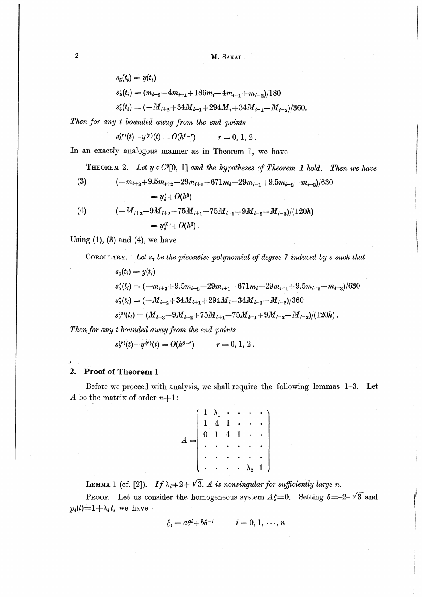M. SAKAI

$$
s_5(t_i) = y(t_i)
$$
  
\n
$$
s'_5(t_i) = (m_{i+2} - 4m_{i+1} + 186m_i - 4m_{i-1} + m_{i-2})/180
$$
  
\n
$$
s''_5(t_i) = (-M_{i+2} + 34M_{i+1} + 294M_i + 34M_{i-1} - M_{i-2})/360.
$$

Then for any t bounded away from the end points

$$
s_{\mathfrak{s}}^{(r)}(t)-y^{(r)}(t)=O(h^{\mathfrak{s}-r}) \qquad r=0, 1, 2.
$$

In an exactly analogous manner as in Theorem 1, we have

THEOREM 2. Let  $y \in C^{9}[0, 1]$  and the hypotheses of Theorem 1 hold. Then we have

(3) 
$$
(-m_{i+3}+9.5m_{i+2}-29m_{i+1}+671m_i-29m_{i-1}+9.5m_{i-2}-m_{i-3})/630
$$

$$
=y'_i+O(h^8)
$$

(4) 
$$
(-M_{i+3}-9M_{i+2}+75M_{i+1}-75M_{i-1}+9M_{i-2}-M_{i-3})/(120h)
$$

$$
=y_i^{(3)}+O(h^6).
$$

Using  $(1)$ ,  $(3)$  and  $(4)$ , we have

COROLLARY. Let  $s_7$  be the piecewise polynomial of degree 7 induced by s such that

 $s_7(t_i) = y(t_i)$  $s'_{7}(t_i) = (-m_{i+3}+9.5m_{i+2}-29m_{i+1}+671m_i-29m_{i-1}+9.5m_{i-2}-m_{i-3})/630$  $s''_2(t_i) = (-M_{i+2} + 34M_{i+1} + 294M_i + 34M_{i-1} - M_{i-2})/360$  $s_7^{(3)}(t_i) = (M_{i+3}-9M_{i+2}+75M_{i+1}-75M_{i-1}+9M_{i-2}-M_{i-3})/(120h)$ .

Then for any t bounded away from the end points

 $s^{(r)}(t)-y^{(r)}(t)=O(h^{8-r})$  $r = 0, 1, 2$ .

#### **Proof of Theorem 1**  $2.$

Before we procced with analysis, we shall require the following lemmas 1-3. Let A be the matrix of order  $n+1$ :

|  |                                                 |  | $\left[\begin{array}{ccccccc} 1 & \lambda_1 & \cdot & \cdot & \cdot & \cdot \\ 1 & 4 & 1 & \cdot & \cdot & \cdot \\ 0 & 1 & 4 & 1 & \cdot & \cdot \\ \cdot & \cdot & \cdot & \cdot & \cdot & \cdot \\ \end{array}\right]$ |    |  |
|--|-------------------------------------------------|--|---------------------------------------------------------------------------------------------------------------------------------------------------------------------------------------------------------------------------|----|--|
|  |                                                 |  |                                                                                                                                                                                                                           |    |  |
|  |                                                 |  | $\cdots$ $\vert$                                                                                                                                                                                                          |    |  |
|  | $\mathbf{r}=\mathbf{r}+\mathbf{r}+\mathbf{r}$ . |  | $\lambda_{2}$                                                                                                                                                                                                             | 1) |  |

LEMMA 1 (cf. [2]). If  $\lambda_i$   $\neq$  2 +  $\sqrt{3}$ , A is nonsingular for sufficiently large n.

**PROOF.** Let us consider the homogeneous system  $A\xi=0$ . Setting  $\theta=-2-\sqrt{3}$  and  $p_i(t)=1+\lambda_i t$ , we have

$$
\xi_i = a\theta^i + b\theta^{-i} \qquad i = 0, 1, \dots, n
$$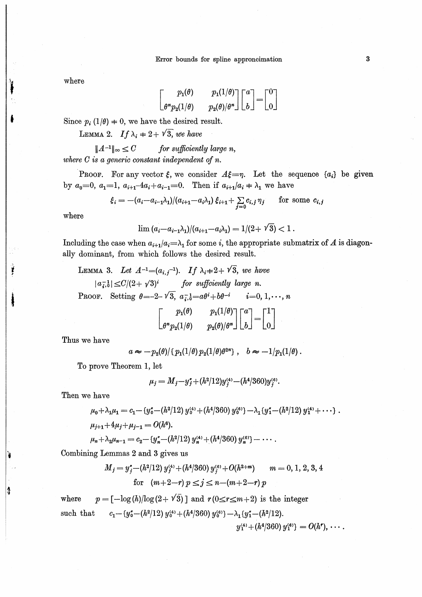where

$$
\begin{bmatrix} p_1(\theta) & p_1(1/\theta) \\ \theta^* p_2(1/\theta) & p_2(\theta)/\theta^* \end{bmatrix} \begin{bmatrix} a \\ b \end{bmatrix} = \begin{bmatrix} 0 \\ 0 \end{bmatrix}
$$

Since  $p_i(1/\theta) = 0$ , we have the desired result.

LEMMA 2. If  $\lambda_i + 2 + \sqrt{3}$ , we have

for sufficiently large n,  $||A^{-1}||_{\infty} \leq C$ where  $C$  is a generic constant independent of  $n$ .

**PROOF.** For any vector  $\xi$ , we consider  $A\xi = \eta$ . Let the sequence  $\{a_i\}$  be given by  $a_0=0$ ,  $a_1=1$ ,  $a_{i+1}-4a_i+a_{i-1}=0$ . Then if  $a_{i+1}/a_i = \lambda_1$  we have

$$
\xi_i = -(a_i - a_{i-1}\lambda_1)/(a_{i+1} - a_i\lambda_1) \xi_{i+1} + \sum_{j=0} c_{i,j} \eta_j \quad \text{for some } c_{i,j}
$$

where

$$
\lim (a_i - a_{i-1}\lambda_1)/(a_{i+1} - a_i\lambda_1) = 1/(2 + \sqrt{3}) < 1
$$

Including the case when  $a_{i+1}/a_i = \lambda_1$  for some i, the appropriate submatrix of A is diagonally dominant, from which follows the desired result.

LEMMA 3. Let 
$$
A^{-1}=(a_{i,j}^{-1})
$$
. If  $\lambda_i+2+\sqrt{3}$ , we have  
\n $|a_{i,b}^{-1}| \le C/(2+\sqrt{3})^i$  for sufficiently large n.  
\nPROOF. Setting  $\theta = -2-\sqrt{3}$ ,  $a_{i,b}^{-1} = a\theta^i + b\theta^{-i}$   $i=0, 1, ..., n$   
\n
$$
\begin{bmatrix} p_1(\theta) & p_1(1/\theta) \\ \theta^* p_2(1/\theta) & p_2(\theta)/\theta^* \end{bmatrix} \begin{bmatrix} a \\ b \end{bmatrix} = \begin{bmatrix} 1 \\ 0 \end{bmatrix}
$$

Thus we have

$$
a \approx -p_2(\theta)/\{p_1(1/\theta)p_2(1/\theta)\theta^{2n}\}, \quad b \approx -1/p_1(1/\theta).
$$

To prove Theorem 1, let

$$
\mu_j = M_j - y_j^* + (h^2/12)y_j^{(4)} - (h^4/360)y_j^{(6)}.
$$

Then we have

ş

$$
\mu_0 + \lambda_1 \mu_1 = c_1 - \{y_0^* - (h^2/12) y_0^{(4)} + (h^4/360) y_0^{(6)}\} - \lambda_1 \{y_1^* - (h^2/12) y_1^{(4)} + \cdots\}.
$$
  

$$
\mu_{j+1} + 4\mu_j + \mu_{j-1} = O(h^6).
$$

$$
\mu_n + \lambda_2 \mu_{n-1} = c_2 - (y_n'' - (h^2/12) y_n^{(4)} + (h^4/360) y_n^{(6)} - \cdots
$$

Combining Lemmas 2 and 3 gives us

$$
M_j = y_j^* - (h^2/12) y_j^{(4)} + (h^4/360) y_j^{(6)} + O(h^{2+m}) \qquad m = 0, 1, 2, 3, 4
$$
  
for  $(m+2-r) p \le j \le n - (m+2-r) p$ 

 $p = [-\log(h)/\log(2+\sqrt{3})]$  and  $r(0 \leq r \leq m+2)$  is the integer where  $c_1 - \{y_0^* - (h^2/12) y_0^{(4)} + (h^4/360) y_0^{(6)}\} - \lambda_1 \{y_1^* - (h^2/12)\}.$ such that  $y_1^{(4)} + (h^4/360) y_1^{(6)} = O(h^r), \cdots$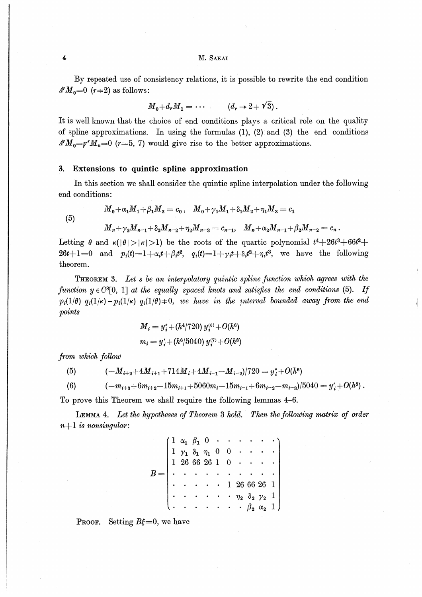M. Sakai

By repeated use of consistency relations, it is possible to rewrite the end condition  $A^r M_0 = 0$  (r  $\neq$  2) as follows:

$$
M_0 + d_r M_1 = \cdots \qquad (d_r \to 2 + \sqrt{3}).
$$

It is well known that the choice of end conditions plays a critical role on the quality of spline approximations. In using the formulas (1), (2) and (3) the end conditions  $A^rM_{\eta} = p^rM_{\eta} = 0$  (r=5, 7) would give rise to the better approximations.

## 3. Extensions to quintic spline approximation

In this section we shall consider the quintic spline interpolation under the following end conditions :

(5)

 $M_0 + \alpha_1 M_1 + \beta_1 M_2 = c_0, \quad M_0 + \gamma_1 M_1 + \delta_1 M_2 + \eta_1 M_3 = c_1$  $M_n+\gamma_2M_{n-1}+\delta_2M_{n-2}+\eta_2M_{n-3} = c_{n-1}, \quad M_n+\alpha_2M_{n-1}+\beta_2M_{n-2} = c_n.$ 

Letting  $\theta$  and  $\kappa(|\theta|>| \kappa|>1)$  be the roots of the quartic polynomial  $t^4+26t^3+66t^2+$ 26t+1=0 and  $p_i(t)=1+\alpha_it+\beta_it^2, q_i(t)=1+\gamma_it+\delta_it^2+\eta_it^3,$  we have the following theorem.

Theorem 3. Let s be an interpolatory quintic spline function which agrees with the function  $y \in C^{8}[0, 1]$  at the equally spaced knots and satisfies the end conditions (5). If  $p_i(1/\theta)$   $q_i(1/\kappa) - p_i(1/\kappa)$   $q_i(1/\theta) \neq 0$ , we have in the interval bounded away from the end points

$$
M_i = y_i^* + (h^4/720) y_i^{(6)} + O(h^6)
$$
  

$$
m_i = y_i' + (h^6/5040) y_i^{(7)} + O(h^8)
$$

from which follow

(5)  $(-M_{i+2}+4M_{i+1}+714M_{i}+4M_{i-1}-M_{i-2})/720 = y'' + O(h^6)$ 

(6)  $(-m_{i+3}+6m_{i+2}-15m_{i+1}+5060m_i-15m_{i-1}+6m_{i-2}-m_{i-3})/5040 = y'_{i} + O(h^8).$ 

To prove this Theorem we shall require the following lemmas 4-6.

Lemma 4. Let the hypotheses of Theorem 3 hold. Then the following matrix of order  $n+1$  is nonsingular:

> $1 \alpha_1 \beta_1 0 \cdot \cdot \cdot$  $1 \gamma_1 \delta_1 \eta_1 0 0$  $1\ \ 26\ \ 66\ \ 26\ \ 1\quad 0$ 1 266626 1 $\begin{matrix} \eta_2 & \delta_2 & \gamma_2 & 1\ & \cdot & \beta_2 & \alpha_2 & 1 \end{matrix}$  $_{2}^{\rm 2}$ 2<br>,

**PROOF.** Setting  $B\xi=0$ , we have

 $\overline{\mathbf{4}}$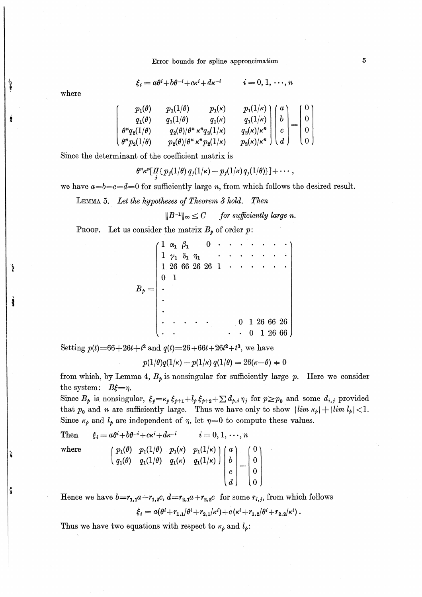Error bounds for spline approncimation

$$
\xi_i = a\theta^i + b\theta^{-i} + c\kappa^i + d\kappa^{-i}
$$

$$
i=0,1,\cdots,n
$$

where

Ì

| $p_1(\theta)$            | $p_1(1/\theta)$ | $p_1(\kappa)$                                 |                                                                                                                                                                                                                                           |  |  |
|--------------------------|-----------------|-----------------------------------------------|-------------------------------------------------------------------------------------------------------------------------------------------------------------------------------------------------------------------------------------------|--|--|
| $q_1(\theta)$            | $q_1(1/\theta)$ | $q_1(\kappa)$                                 | $\left(\begin{array}{c} p_1(1/\kappa) \ q_1(1/\kappa) \ q_2(\kappa)/\kappa^n \ p_2(\kappa)/\kappa^n \end{array}\right) \left(\begin{array}{c} a \ b \ c \ d \end{array}\right) = \left(\begin{array}{c} 0 \ 0 \ 0 \ 0 \end{array}\right)$ |  |  |
| $\theta^n q_2(1/\theta)$ |                 | $q_2(\theta)/\theta^n \kappa^n q_2(1/\kappa)$ |                                                                                                                                                                                                                                           |  |  |
| $\theta^n p_2(1/\theta)$ |                 | $p_2(\theta)/\theta^n \kappa^n p_2(1/\kappa)$ |                                                                                                                                                                                                                                           |  |  |

Since the determinant of the coefficient matrix is

 $\theta^{\kappa} \kappa^n [ \prod_j \{ p_j(1/\theta) q_j(1/\kappa) - p_j(1/\kappa) q_j(1/\theta) \} ] + \cdots,$ 

we have  $a = b = c = d = 0$  for sufficiently large n, from which follows the desired result.

LEMMA 5. Let the hypotheses of Theorem 3 hold. Then

 $||B^{-1}||_{\infty} \leq C$  for sufficiently large n.

**PROOF.** Let us consider the matrix  $B_p$  of order p:

|   | $1 \alpha_1 \beta_1$         |  |                 |  |   |  |            |  |
|---|------------------------------|--|-----------------|--|---|--|------------|--|
|   | $1 \gamma_1 \delta_1 \eta_1$ |  |                 |  |   |  |            |  |
|   |                              |  | 1 26 66 26 26 1 |  |   |  |            |  |
| 0 |                              |  |                 |  |   |  |            |  |
|   |                              |  |                 |  |   |  |            |  |
|   |                              |  |                 |  |   |  |            |  |
|   |                              |  |                 |  |   |  |            |  |
|   |                              |  |                 |  | 0 |  | 1 26 66 26 |  |
|   |                              |  |                 |  |   |  | 1 26 66    |  |

Setting  $p(t)=66+26t+t^2$  and  $q(t)=26+66t+26t^2+t^3$ , we have

$$
p(1/\theta)q(1/\kappa)-p(1/\kappa) q(1/\theta) = 26(\kappa-\theta) \neq 0
$$

from which, by Lemma 4,  $B_p$  is nonsingular for sufficiently large p. Here we consider the system:  $B\xi = \eta$ .

Since  $B_{\rho}$  is nonsingular,  $\xi_{\rho} = \kappa_{\rho} \xi_{\rho+1} + l_{\rho} \xi_{\rho+2} + \sum d_{\rho,i} \eta_j$  for  $p \ge p_0$  and some  $d_{i,j}$  provided that  $p_0$  and *n* are sufficiently large. Thus we have only to show  $|\lim_{k \to \infty} \kappa_p| + |\lim_{k \to \infty} l_p| < 1$ . Since  $\kappa_{\rho}$  and  $l_{\rho}$  are independent of  $\eta$ , let  $\eta=0$  to compute these values.

Then 
$$
\xi_i = a\theta^i + b\theta^{-i} + c\kappa^i + d\kappa^{-i} \qquad i = 0, 1, \dots, n
$$
where\n
$$
\begin{pmatrix}\np_1(\theta) & p_1(1/\theta) & p_1(\kappa) & p_1(1/\kappa) \\
q_1(\theta) & q_1(1/\theta) & q_1(\kappa) & q_1(1/\kappa)\n\end{pmatrix}\n\begin{pmatrix}\na \\
b \\
c \\
d\n\end{pmatrix} =\n\begin{pmatrix}\n0 \\
0 \\
0 \\
0 \\
0\n\end{pmatrix}
$$

Hence we have  $b=r_{1,1}a+r_{1,2}c$ ,  $d=r_{2,1}a+r_{2,2}c$  for some  $r_{i,j}$ , from which follows

$$
\xi_i = a(\theta^i + r_{1,1}/\theta^i + r_{2,1}/\kappa^i) + c(\kappa^i + r_{1,2}/\theta^i + r_{2,2}/\kappa^i).
$$

Thus we have two equations with respect to  $\kappa_{p}$  and  $l_{p}$ :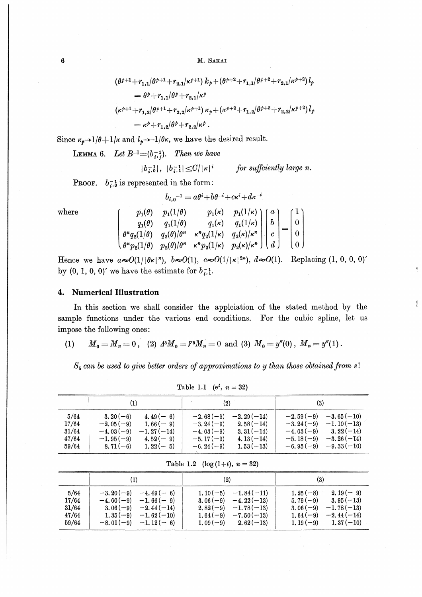M. SAKAI

$$
\begin{aligned} &\left(\theta^{\dot{\rho}+1}+r_{1,1}/\theta^{\dot{\rho}+1}+r_{2,1}/\kappa^{\dot{\rho}+1}\right)k_{\dot{\rho}}+\left(\theta^{\dot{\rho}+2}+r_{1,1}/\theta^{\dot{\rho}+2}+r_{2,1}/\kappa^{\dot{\rho}+2}\right)l_{\dot{\rho}}\\ &=&\theta^{\dot{\rho}}+r_{1,1}/\theta^{\dot{\rho}}+r_{2,1}/\kappa^{\dot{\rho}}\\ &\left(\kappa^{\dot{\rho}+1}+r_{1,2}/\theta^{\dot{\rho}+1}+r_{2,2}/\kappa^{\dot{\rho}+1}\right)\kappa_{\dot{\rho}}+(\kappa^{\dot{\rho}+2}+r_{1,2}/\theta^{\dot{\rho}+2}+r_{2,2}/\kappa^{\dot{\rho}+2})\,l_{\dot{\rho}}\\ &=&\kappa^{\dot{\rho}}+r_{1,2}/\theta^{\dot{\rho}}+r_{2,2}/\kappa^{\dot{\rho}}\;. \end{aligned}
$$

Since  $\kappa_{\phi} \rightarrow 1/\theta + 1/\kappa$  and  $l_{\phi} \rightarrow -1/\theta \kappa$ , we have the desired result.

LEMMA 6. Let  $B^{-1}=(b_{i,j}^{-1})$ . Then we have

$$
|b_{i,0}^{-1}|, |b_{i,1}^{-1}| \leq C/|\kappa|^i
$$
 for sufficiently large n.

**PROOF.**  $b_{i,0}^{-1}$  is represented in the form:

$$
b_{i,\,0}{}^{-1} = a\theta^i + b\theta^{-i} + c\kappa^i + d\kappa^{-i}
$$

where

|  | $\begin{pmatrix} p_1(\theta) & p_1(1/\theta) & p_1(\kappa) & p_1(1/\kappa) \\ q_1(\theta) & q_1(1/\theta) & q_1(\kappa) & q_1(1/\kappa) \\ \theta^n q_2(1/\theta) & q_2(\theta)/\theta^n & \kappa^n q_2(1/\kappa) & q_2(\kappa)/\kappa^n \\ \theta^n p_2(1/\theta) & p_2(\theta)/\theta^n & \kappa^n p_3(1/\kappa) & p_2(\kappa)/\kappa^n \end{pmatrix} \begin{pmatrix} a \\ b \\ c \\ d \end{pmatrix} = \begin{pmatrix} 1 \\ 0 \\ 0 \\ 0 \end{pmatrix}$ |  |  |  |
|--|----------------------------------------------------------------------------------------------------------------------------------------------------------------------------------------------------------------------------------------------------------------------------------------------------------------------------------------------------------------------------------------------------------------------------------------------------------|--|--|--|
|  |                                                                                                                                                                                                                                                                                                                                                                                                                                                          |  |  |  |

Hence we have  $a\in O(1/|\theta\kappa|^n)$ ,  $b\in O(1)$ ,  $c\in O(1/|\kappa|^{2n})$ ,  $d\in O(1)$ . Replacing  $(1, 0, 0, 0)'$ by  $(0, 1, 0, 0)'$  we have the estimate for  $b_{i}^{-1}$ .

## 4. Numerical Illustration

In this section we shall consider the applciation of the stated method by the sample functions under the various end conditions. For the cubic spline, let us impose the following ones:

(1) 
$$
M_0 = M_n = 0
$$
, (2)  $4^5 M_0 = V^5 M_n = 0$  and (3)  $M_0 = y''(0)$ ,  $M_n = y''(1)$ .

 $S_5$  can be used to give better orders of approximations to y than those obtained from s!

|                                          |                                                                                                                                               | (2)                                                                                                                                                 | (3)                                                                                                                                                    |
|------------------------------------------|-----------------------------------------------------------------------------------------------------------------------------------------------|-----------------------------------------------------------------------------------------------------------------------------------------------------|--------------------------------------------------------------------------------------------------------------------------------------------------------|
| 5/64<br>17/64<br>31/64<br>47/64<br>59/64 | $3.20(-6)$<br>$4.49(-6)$<br>$-2.05(-9)$<br>$1.66(-9)$<br>$-4.03(-9)$<br>$-1.27(-14)$<br>$-1.95(-9)$<br>$4.52(-9)$<br>$8.71(-6)$<br>$1.22(-5)$ | $-2.29(-14)$<br>$-2.68(-9)$<br>$-3.24(-9)$<br>$2.58(-14)$<br>$-4.03(-9)$<br>$3.31(-14)$<br>$-5.17(-9)$<br>$4.13(-14)$<br>$-6.24(-9)$<br>$1.53(-13)$ | $-3.65(-10)$<br>$-2.59(-9)$<br>$-1.10(-13)$<br>$-3.24(-9)$<br>$3.22(-14)$<br>$-4.03(-9)$<br>$-3.26(-14)$<br>$-5.18(-9)$<br>$-6.95(-9)$<br>$-9.33(-10)$ |

Table 1.1 (e<sup>t</sup>,  $n = 32$ )

Table 1.2 ( $log(1+t)$ ,  $n = 32$ )

|                                          | $\scriptstyle{(1)}$                                                                                                                             | (2)                                                                                                                             | $\scriptstyle{(3)}$                                                                                                                             |  |  |
|------------------------------------------|-------------------------------------------------------------------------------------------------------------------------------------------------|---------------------------------------------------------------------------------------------------------------------------------|-------------------------------------------------------------------------------------------------------------------------------------------------|--|--|
| 5/64<br>17/64<br>31/64<br>47/64<br>59/64 | $-3.20(-9)$<br>$-4.49(-6)$<br>$-4.60(-9)$<br>$-1.66(-9)$<br>$3.06(-9)$<br>$-2.44(-14)$<br>$-1.62(-10)$<br>$1,35(-9)$<br>$-8.01(-9)$ $-1.12(-6)$ | $1.10(-5) -1.84(-11)$<br>$3.06(-9) -4.22(-13)$<br>$2.82(-9) -1.78(-13)$<br>$1.64(-9)$<br>$-7.50(-13)$<br>$1.09(-9)$ $2.62(-13)$ | $2.19(-9)$<br>$1, 25(-8)$<br>$3.95(-13)$<br>$5.79(-9)$<br>$-1.78(-13)$<br>$3.06(-9)$<br>$1.64(-9)$<br>$-2.44(-14)$<br>$1.37(-10)$<br>$1.19(-9)$ |  |  |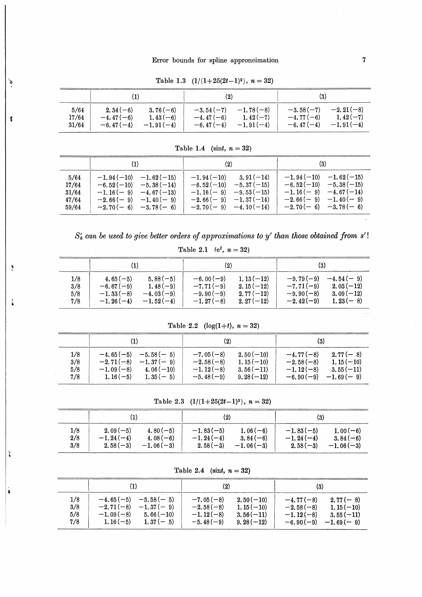|       | $\left( 1\right)$ |             | $\left( 2\right)$ |             | (3)         |             |  |
|-------|-------------------|-------------|-------------------|-------------|-------------|-------------|--|
| 5/64  | $2.34(-6)$        | $3.76(-6)$  | $-3.54(-7)$       | $-1.78(-8)$ | $-3.58(-7)$ | $-2.21(-8)$ |  |
| 17/64 | $-4.47(-6)$       | $1.43(-6)$  | $-4.47(-6)$       | $1.42(-7)$  | $-4.77(-6)$ | $1.42(-7)$  |  |
| 31/64 | $-6.47(-4)$       | $-1.91(-4)$ | $-6.47(-4)$       | $-1.91(-4)$ | $-6.47(-4)$ | $-1.91(-4)$ |  |

Table 1.3  $(1/(1+25(2t-1)^2), n=32)$ 

 $\delta$ 

 $\frac{4}{3}$ 

 $\frac{a}{2}$ 

 $\ddot{\hat{}}$ 

Ť

 $\mathbf{\hat{a}}$ 

|                                          | (1)                                                                                                                                  | (2)                                                                                                                                           |                                                                                                                                        |  |  |
|------------------------------------------|--------------------------------------------------------------------------------------------------------------------------------------|-----------------------------------------------------------------------------------------------------------------------------------------------|----------------------------------------------------------------------------------------------------------------------------------------|--|--|
| 5/64<br>17/64<br>31/64<br>47/64<br>59/64 | $-1.94(-10) -1.62(-15)$<br>$-6.52(-10)$ $-5.38(-14)$<br>$-1.16(-9) -4.67(-13)$<br>$-2.66(-9)$ $-1.40(-9)$<br>$-2.70(-6)$ $-3.78(-6)$ | $3.91(-14)$<br>$-1.94(-10)$<br>$-6.52(-10)$<br>$-5.37(-15)$<br>$-1.16(-9) -9.53(-15)$<br>$-2.66(-9)$ $-1.37(-14)$<br>$-2.70(-9)$ $-4.10(-14)$ | $-1.94(-10) -1.62(-15)$<br>$-6.52(-10)$ $-5.38(-15)$<br>$-1.16(-9)$ $-4.67(-14)$<br>$-2.66(-9)$ $-1.40(-9)$<br>$-2.70(-6)$ $-3.78(-6)$ |  |  |

Table 1.4 (sint,  $n = 32$ )

 $S'_5$  can be used to give better orders of approximations to y' than those obtained from  $s'$ !

Table 2.1 (e<sup>t</sup>,  $n = 32$ )

|     |             |             | (2)         |             | (3)         |             |
|-----|-------------|-------------|-------------|-------------|-------------|-------------|
| 1/8 | $4.65(-5)$  | $5.88(-5)$  | $-6.00(-9)$ | $1.13(-12)$ | $-9.79(-9)$ | $-4.54(-9)$ |
| 3/8 | $-6.67(-9)$ | $1.48(-9)$  | $-7.71(-9)$ | $2.15(-12)$ | $-7.71(-9)$ | $2.03(-12)$ |
| 5/8 | $-1.33(-8)$ | $-4.03(-9)$ | $-9.90(-9)$ | $2.77(-12)$ | $-9.90(-8)$ | $3.09(-12)$ |
| 7/8 | $-1.26(-4)$ | $-1.52(-4)$ | $-1.27(-8)$ | $2.27(-12)$ | $-2.42(-9)$ | $1,23(-8)$  |

Table 2.2  $(log(1+t), n = 32)$ 

|                          | $\bf{(1)}$                                                                                                         | (2)                                                                                                                  |                                                                                                                     |  |
|--------------------------|--------------------------------------------------------------------------------------------------------------------|----------------------------------------------------------------------------------------------------------------------|---------------------------------------------------------------------------------------------------------------------|--|
| 1/8<br>3/8<br>5/8<br>7/8 | $-5.58(-5)$<br>$-4.65(-5)$<br>$-2.71(-8)$<br>$-1.37(-9)$<br>$-1.09(-8)$<br>$4.06(-10)$<br>$1.16(-5)$<br>$1.35(-5)$ | $2.50(-10)$<br>$-7.05(-8)$<br>$-2.58(-8)$<br>$1.15(-10)$<br>$-1.12(-8)$<br>$3.56(-11)$<br>$-5.48(-9)$<br>$9.28(-12)$ | $-4.77(-8)$<br>$2.77(-8)$<br>$1.15(-10)$<br>$-2.58(-8)$<br>$-1.12(-8)$<br>$3.55(-11)$<br>$-6.90(-9)$<br>$-1.69(-9)$ |  |

Table 2.3  $(1/(1+25(2t-1)^2), n = 32)$ 

|     |             |             | $\left( 2\right)$ |             | $\left( 3\right)$ |             |
|-----|-------------|-------------|-------------------|-------------|-------------------|-------------|
| 1/8 | $2.09(-5)$  | $4.80(-5)$  | $-1.83(-5)$       | $1.06(-6)$  | $-1.83(-5)$       | $1.00(-6)$  |
| 2/8 | $-1.24(-4)$ | $4.08(-6)$  | $-1.24(-4)$       | $3.84(-6)$  | $-1.24(-4)$       | $3.84(-6)$  |
| 3/8 | $2.58(-3)$  | $-1.06(-3)$ | $2.58(-3)$        | $-1.06(-3)$ | $2.58(-3)$        | $-1.06(-3)$ |

Table 2.4 (sint,  $n = 32$ )

|                          | (1)                                                                                                                | $\left( 2\right)$                                                                                                    | (3)                                                                                                                 |
|--------------------------|--------------------------------------------------------------------------------------------------------------------|----------------------------------------------------------------------------------------------------------------------|---------------------------------------------------------------------------------------------------------------------|
| 1/8<br>3/8<br>5/8<br>7/8 | $-5.58(-5)$<br>$-4.65(-5)$<br>$-2.71(-8)$<br>$-1.37(-9)$<br>$-1.09(-8)$<br>$5.66(-10)$<br>$1.16(-5)$<br>$1.37(-5)$ | $2.50(-10)$<br>$-7.05(-8)$<br>$-2.58(-8)$<br>$1.15(-10)$<br>$-1.12(-8)$<br>$3.56(-11)$<br>$-5.48(-9)$<br>$9.28(-12)$ | $2.77(-8)$<br>$-4.77(-8)$<br>$1.15(-10)$<br>$-2.58(-8)$<br>$-1.12(-8)$<br>$3.55(-11)$<br>$-6.90(-9)$<br>$-1.69(-9)$ |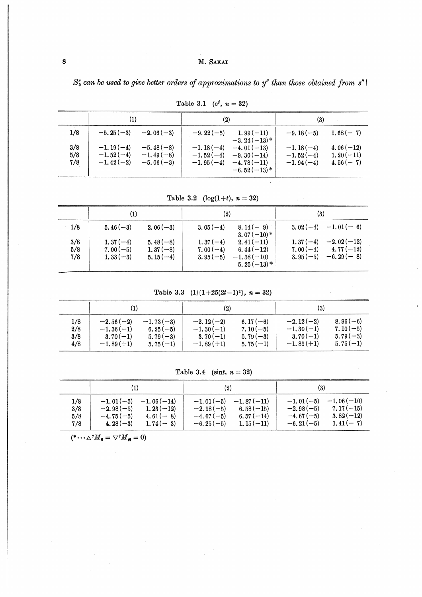# M. SAKAI

 $S_5$  can be used to give better orders of approximations to  $y''$  than those obtained from  $s''!$ 

|                   | $\scriptstyle{(1)}$                       |                                           | $\scriptstyle{(2)}$                       |                                                                | (3)                                       |                                          |
|-------------------|-------------------------------------------|-------------------------------------------|-------------------------------------------|----------------------------------------------------------------|-------------------------------------------|------------------------------------------|
| 1/8               | $-5.25(-3)$                               | $-2.06(-3)$                               | $-9.22(-5)$                               | $1.99(-11)$<br>$-3.24(-13)*$                                   | $-9.18(-5)$                               | $1.68(-7)$                               |
| 3/8<br>5/8<br>7/8 | $-1.19(-4)$<br>$-1.52(-4)$<br>$-1.42(-2)$ | $-5.48(-8)$<br>$-1.49(-8)$<br>$-5.06(-3)$ | $-1.18(-4)$<br>$-1.52(-4)$<br>$-1.95(-4)$ | $-4.01(-13)$<br>$-9.30(-14)$<br>$-4.78(-11)$<br>$-6.52(-13)$ * | $-1.18(-4)$<br>$-1.52(-4)$<br>$-1.94(-4)$ | $4.06(-12)$<br>$1.20(-11)$<br>$4.56(-7)$ |

Table 3.1 (e<sup>t</sup>,  $n = 32$ )

Table 3.2  $(log(1+t), n = 32)$ 

|                   | (1)                                    |                                        | $\left( 2\right)$                      |                                                             | (3)                      |                                                       |
|-------------------|----------------------------------------|----------------------------------------|----------------------------------------|-------------------------------------------------------------|--------------------------|-------------------------------------------------------|
| 1/8               | $5.46(-3)$                             | $2.06(-3)$                             | $3.05(-4)$                             | $8.14(-9)$<br>$3.07(-10)*$                                  |                          | $3.02(-4) -1.01(-6)$                                  |
| 3/8<br>5/8<br>7/8 | $1.37(-4)$<br>$7.00(-5)$<br>$1.33(-3)$ | $5.48(-8)$<br>$1,37(-8)$<br>$5.15(-4)$ | $1,37(-4)$<br>$7.00(-4)$<br>$3.95(-5)$ | $2.41(-11)$<br>6.44 $(-12)$<br>$-1.38(-10)$<br>$5.25(-13)*$ | $1,37(-4)$<br>$3.95(-5)$ | $-2.02(-12)$<br>$7.00(-4)$ $4.77(-12)$<br>$-6.29(-8)$ |

Table 3.3  $(1/(1+25(2t-1)^2), n = 32)$ 

|     | (1)         |             | (2)         |             | (3)         |            |
|-----|-------------|-------------|-------------|-------------|-------------|------------|
| 1/8 | $-2.56(-2)$ | $-1.73(-3)$ | $-2.12(-2)$ | 6.17 $(-6)$ | $-2.12(-2)$ | $8.96(-6)$ |
| 2/8 | $-1.36(-1)$ | 6.25 $(-5)$ | $-1.30(-1)$ | $7.10(-5)$  | $-1.30(-1)$ | $7.10(-5)$ |
| 3/8 | $3.70(-1)$  | $5.79(-3)$  | $3.70(-1)$  | $5.79(-3)$  | $3.70(-1)$  | $5.79(-3)$ |
| 4/8 | $-1.89(+1)$ | $5.75(-1)$  | $-1.89(+1)$ | $5.75(-1)$  | $-1.89(+1)$ | $5.75(-1)$ |

Table 3.4 (sint,  $n = 32$ )

|                          |                                                                                                                     | $\left( 2\right)$                                                                                                     | (3)                                                                                                                  |
|--------------------------|---------------------------------------------------------------------------------------------------------------------|-----------------------------------------------------------------------------------------------------------------------|----------------------------------------------------------------------------------------------------------------------|
| 1/8<br>3/8<br>5/8<br>7/8 | $-1.01(-5)$<br>$-1.06(-14)$<br>$1, 23(-12)$<br>$-2.98(-5)$<br>$-4.75(-5)$<br>$4.61(-8)$<br>$4.28(-3)$<br>$1.74(-3)$ | $-1.87(-11)$<br>$-1.01(-5)$<br>$6.58(-15)$<br>$-2.98(-5)$<br>$6.57(-14)$<br>$-4.67(-5)$<br>$1.15(-11)$<br>$-6.25(-5)$ | $-1.06(-10)$<br>$-1.01(-5)$<br>$7.17(-15)$<br>$-2.98(-5)$<br>$3.82(-12)$<br>$-4.67(-5)$<br>$1.41(-7)$<br>$-6.21(-5)$ |

 $(*\cdots \triangle^7 M_0 = \nabla^7 M_{\bullet} = 0)$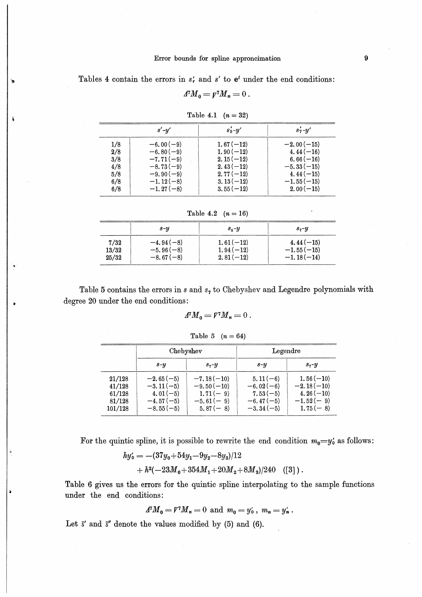Tables 4 contain the errors in  $s'_r$  and  $s'$  to  $e^t$  under the end conditions:

$$
A^{\dagger}M_{0}=p^{\dagger}M_{n}=0.
$$

|     | $s'$ - $y'$ | $s'_5 - y'$ | $s'_7-y'$    |
|-----|-------------|-------------|--------------|
| 1/8 | $-6.00(-9)$ | $1.67(-12)$ | $-2.00(-15)$ |
| 2/8 | $-6.80(-9)$ | $1.90(-12)$ | $4.44(-16)$  |
| 3/8 | $-7.71(-9)$ | $2.15(-12)$ | $6.66(-16)$  |
| 4/8 | $-8.73(-9)$ | $2.43(-12)$ | $-5.33(-15)$ |
| 5/8 | $-9.90(-9)$ | $2.77(-12)$ | $4.44(-15)$  |
| 6/8 | $-1.12(-8)$ | $3.13(-12)$ | $-1.55(-15)$ |
| 6/8 | $-1.27(-8)$ | $3.55(-12)$ | $2.00(-15)$  |

Table 4.1  $(n = 32)$ 

Table 4.2  $(n = 16)$ 

|       | $s - y$     | $s_{5}$ - $y$ | s, y         |
|-------|-------------|---------------|--------------|
| 7/32  | $-4.94(-8)$ | $1.61(-12)$   | $4.44(-15)$  |
| 13/32 | $-5.96(-8)$ | $1.94(-12)$   | $-1.55(-15)$ |
| 25/32 | $-8.67(-8)$ | $2.81(-12)$   | $-1.18(-14)$ |

Table 5 contains the errors in  $s$  and  $s<sub>7</sub>$  to Chebyshev and Legendre polynomials with degree 20 under the end conditions:

$$
A^{\dagger}M_{0}=V^{\dagger}M_{n}=0.
$$

$$
Table 5 (n = 64)
$$

|                                                 | Chebyshev                                                              |                                                                         | Legendre                                                              |                                                                         |  |
|-------------------------------------------------|------------------------------------------------------------------------|-------------------------------------------------------------------------|-----------------------------------------------------------------------|-------------------------------------------------------------------------|--|
|                                                 | $s - y$                                                                | $s, -y$                                                                 | $s - y$                                                               | $s_7-y$                                                                 |  |
| 21/128<br>41/128<br>61/128<br>81/128<br>101/128 | $-2.65(-5)$<br>$-3.11(-5)$<br>$4.01(-5)$<br>$-4.57(-5)$<br>$-8.55(-5)$ | $-7.18(-10)$<br>$-9.50(-10)$<br>$1.71(-9)$<br>$-5.61(-9)$<br>$5.87(-8)$ | $5.11(-6)$<br>$-6.02(-6)$<br>$7.53(-5)$<br>$-6.47(-5)$<br>$-3.34(-5)$ | $1.56(-10)$<br>$-2.18(-10)$<br>$4.26(-10)$<br>$-1.52(-9)$<br>$1.75(-8)$ |  |

For the quintic spline, it is possible to rewrite the end condition  $m_0 = y'_0$  as follows:

$$
hy'_0 = -(37y_0 + 54y_1 - 9y_2 - 8y_3)/12
$$
  
+ 
$$
h^2(-23M_0 + 354M_1 + 20M_2 + 8M_3)/240
$$
 (51).

Table 6 gives us the errors for the quintic spline interpolating to the sample functions under the end conditions:

$$
A^7 M_0 = V^7 M_n = 0 \text{ and } m_0 = y'_0, m_n = y'_n.
$$

Let  $\bar{s}'$  and  $\bar{s}''$  denote the values modified by (5) and (6).